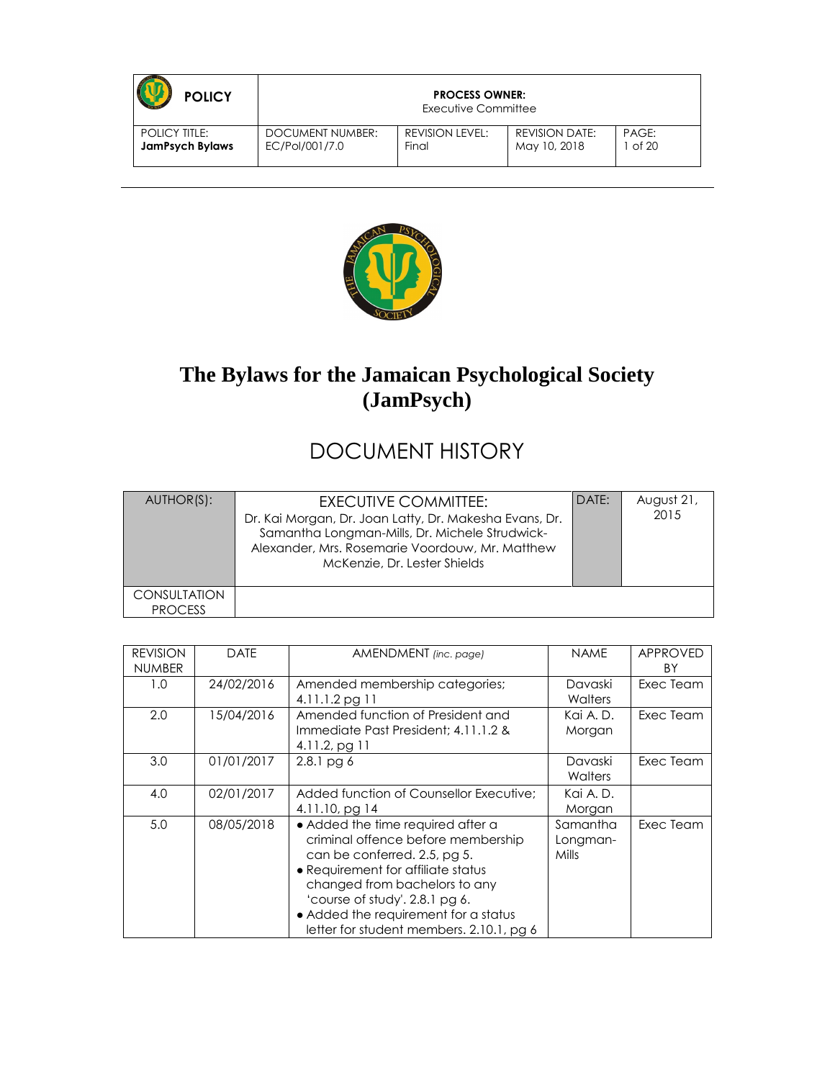| <b>POLICY</b>          | <b>PROCESS OWNER:</b><br>Executive Committee |                 |                       |       |
|------------------------|----------------------------------------------|-----------------|-----------------------|-------|
| <b>POLICY TITLE:</b>   | DOCUMENT NUMBER:                             | REVISION LEVEL: | <b>REVISION DATE:</b> | PAGE: |
| <b>JamPsych Bylaws</b> | EC/Pol/001/7.0                               | Final           | May 10, 2018          | of 20 |



## **The Bylaws for the Jamaican Psychological Society (JamPsych)**

# DOCUMENT HISTORY

| AUTHOR(S):     | EXECUTIVE COMMITTEE:<br>Dr. Kai Morgan, Dr. Joan Latty, Dr. Makesha Evans, Dr.<br>Samantha Longman-Mills, Dr. Michele Strudwick-<br>Alexander, Mrs. Rosemarie Voordouw, Mr. Matthew<br>McKenzie, Dr. Lester Shields | DATE: | August 21,<br>2015 |
|----------------|---------------------------------------------------------------------------------------------------------------------------------------------------------------------------------------------------------------------|-------|--------------------|
| CONSULTATION   |                                                                                                                                                                                                                     |       |                    |
| <b>PROCESS</b> |                                                                                                                                                                                                                     |       |                    |

| <b>REVISION</b><br><b>NUMBER</b> | <b>DATE</b> | AMENDMENT (inc. page)                                                                                                                                                                                                                                                                                | <b>NAME</b>                   | <b>APPROVED</b><br>ΒY |
|----------------------------------|-------------|------------------------------------------------------------------------------------------------------------------------------------------------------------------------------------------------------------------------------------------------------------------------------------------------------|-------------------------------|-----------------------|
| 1.0                              | 24/02/2016  | Amended membership categories;<br>4.11.1.2 pg 11                                                                                                                                                                                                                                                     | Davaski<br>Walters            | Exec Team             |
| 2.0                              | 15/04/2016  | Amended function of President and<br>Immediate Past President; 4.11.1.2 &<br>$4.11.2$ , pg 11                                                                                                                                                                                                        | Kai A.D.<br>Morgan            | Exec Team             |
| 3.0                              | 01/01/2017  | $2.8.1$ pg $6$                                                                                                                                                                                                                                                                                       | Davaski<br>Walters            | Exec Team             |
| 4.0                              | 02/01/2017  | Added function of Counsellor Executive:<br>$4.11.10$ , pg 14                                                                                                                                                                                                                                         | Kai A.D.<br>Morgan            |                       |
| 5.0                              | 08/05/2018  | • Added the time required after a<br>criminal offence before membership<br>can be conferred. 2.5, pg 5.<br>• Requirement for affiliate status<br>changed from bachelors to any<br>'course of study'. 2.8.1 pg 6.<br>• Added the requirement for a status<br>letter for student members. 2.10.1, pg 6 | Samantha<br>Longman-<br>Mills | Exec Team             |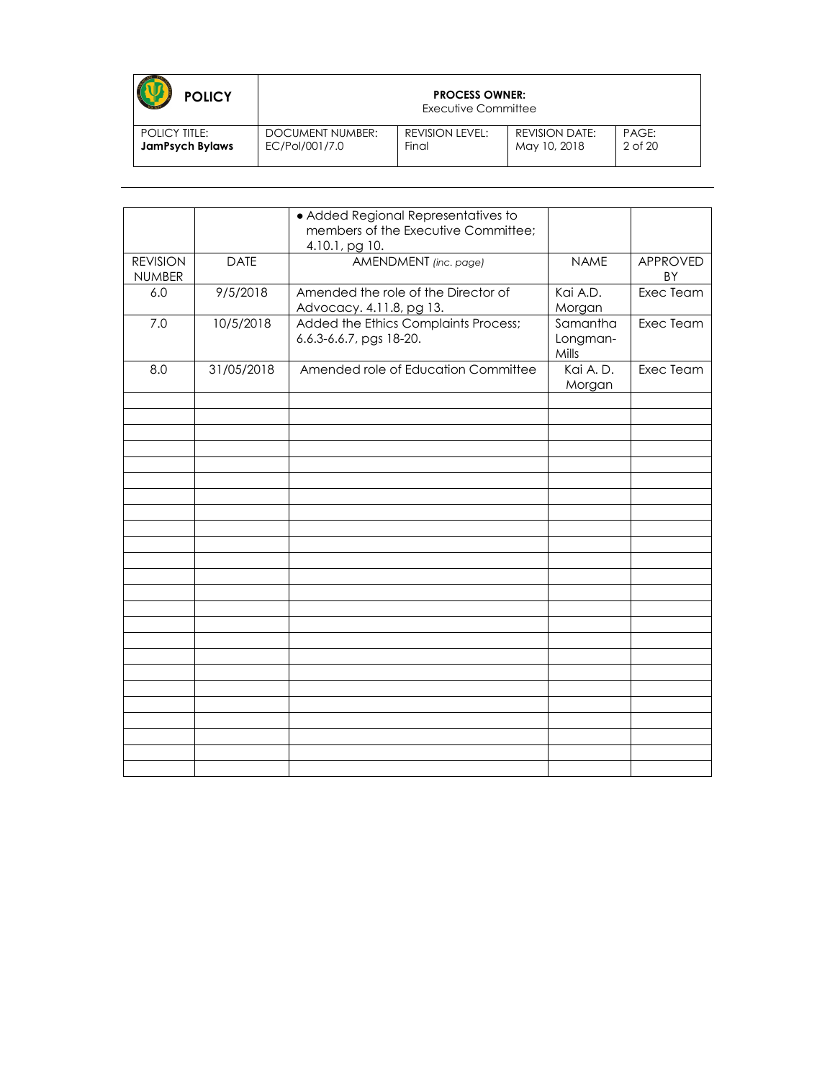| <b>POLICY</b>          |                  | <b>PROCESS OWNER:</b><br>Executive Committee |                       |         |
|------------------------|------------------|----------------------------------------------|-----------------------|---------|
| <b>POLICY TITLE:</b>   | DOCUMENT NUMBER: | REVISION LEVEL:                              | <b>REVISION DATE:</b> | PAGE:   |
| <b>JamPsych Bylaws</b> | EC/Pol/001/7.0   | Final                                        | May 10, 2018          | 2 of 20 |

|                                  |             | · Added Regional Representatives to<br>members of the Executive Committee;<br>4.10.1, pg 10. |                               |                       |
|----------------------------------|-------------|----------------------------------------------------------------------------------------------|-------------------------------|-----------------------|
| <b>REVISION</b><br><b>NUMBER</b> | <b>DATE</b> | AMENDMENT (inc. page)                                                                        | <b>NAME</b>                   | <b>APPROVED</b><br>BY |
| 6.0                              | 9/5/2018    | Amended the role of the Director of<br>Advocacy. 4.11.8, pg 13.                              | Kai A.D.<br>Morgan            | Exec Team             |
| 7.0                              | 10/5/2018   | Added the Ethics Complaints Process;<br>6.6.3-6.6.7, pgs 18-20.                              | Samantha<br>Longman-<br>Mills | Exec Team             |
| 8.0                              | 31/05/2018  | Amended role of Education Committee                                                          | Kai A.D.<br>Morgan            | Exec Team             |
|                                  |             |                                                                                              |                               |                       |
|                                  |             |                                                                                              |                               |                       |
|                                  |             |                                                                                              |                               |                       |
|                                  |             |                                                                                              |                               |                       |
|                                  |             |                                                                                              |                               |                       |
|                                  |             |                                                                                              |                               |                       |
|                                  |             |                                                                                              |                               |                       |
|                                  |             |                                                                                              |                               |                       |
|                                  |             |                                                                                              |                               |                       |
|                                  |             |                                                                                              |                               |                       |
|                                  |             |                                                                                              |                               |                       |
|                                  |             |                                                                                              |                               |                       |
|                                  |             |                                                                                              |                               |                       |
|                                  |             |                                                                                              |                               |                       |
|                                  |             |                                                                                              |                               |                       |
|                                  |             |                                                                                              |                               |                       |
|                                  |             |                                                                                              |                               |                       |
|                                  |             |                                                                                              |                               |                       |
|                                  |             |                                                                                              |                               |                       |
|                                  |             |                                                                                              |                               |                       |
|                                  |             |                                                                                              |                               |                       |
|                                  |             |                                                                                              |                               |                       |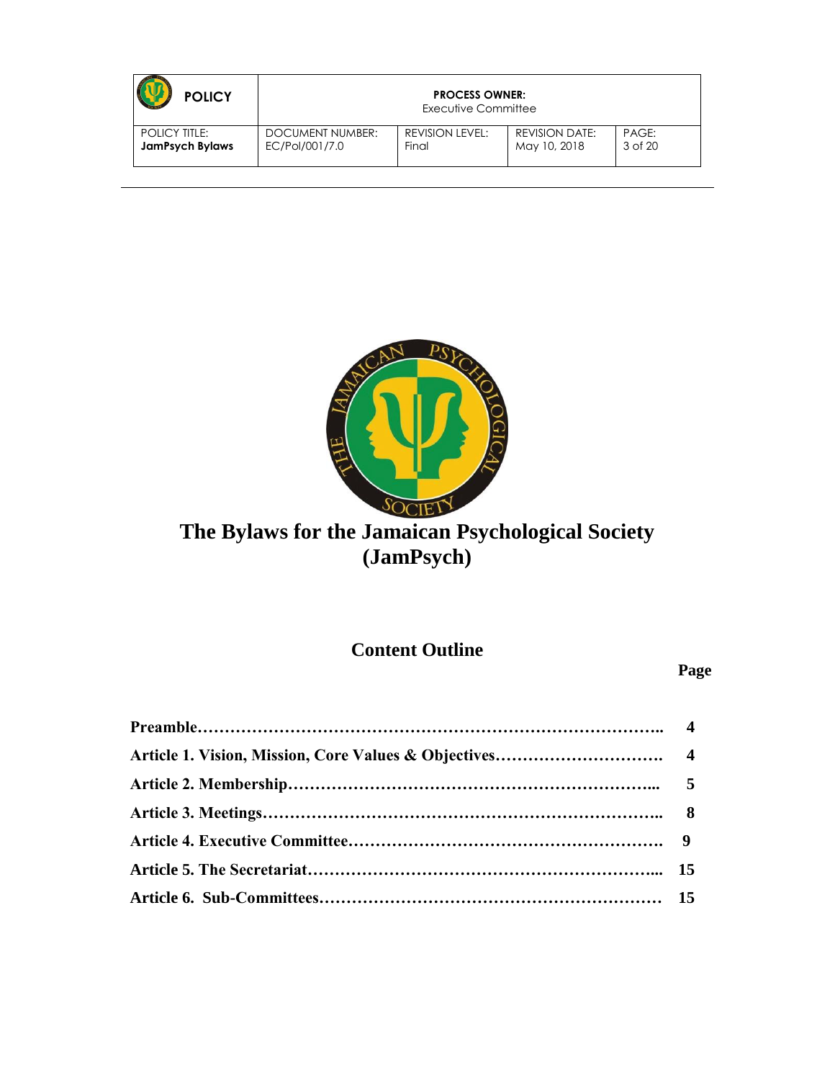| <b>POLICY</b>          |                  | <b>PROCESS OWNER:</b><br>Executive Committee |                       |         |
|------------------------|------------------|----------------------------------------------|-----------------------|---------|
| <b>POLICY TITLE:</b>   | DOCUMENT NUMBER: | <b>REVISION LEVEL:</b>                       | <b>REVISION DATE:</b> | PAGE:   |
| <b>JamPsych Bylaws</b> | EC/Pol/001/7.0   | Final                                        | May 10, 2018          | 3 of 20 |



# **The Bylaws for the Jamaican Psychological Society (JamPsych)**

**Content Outline**

**Page**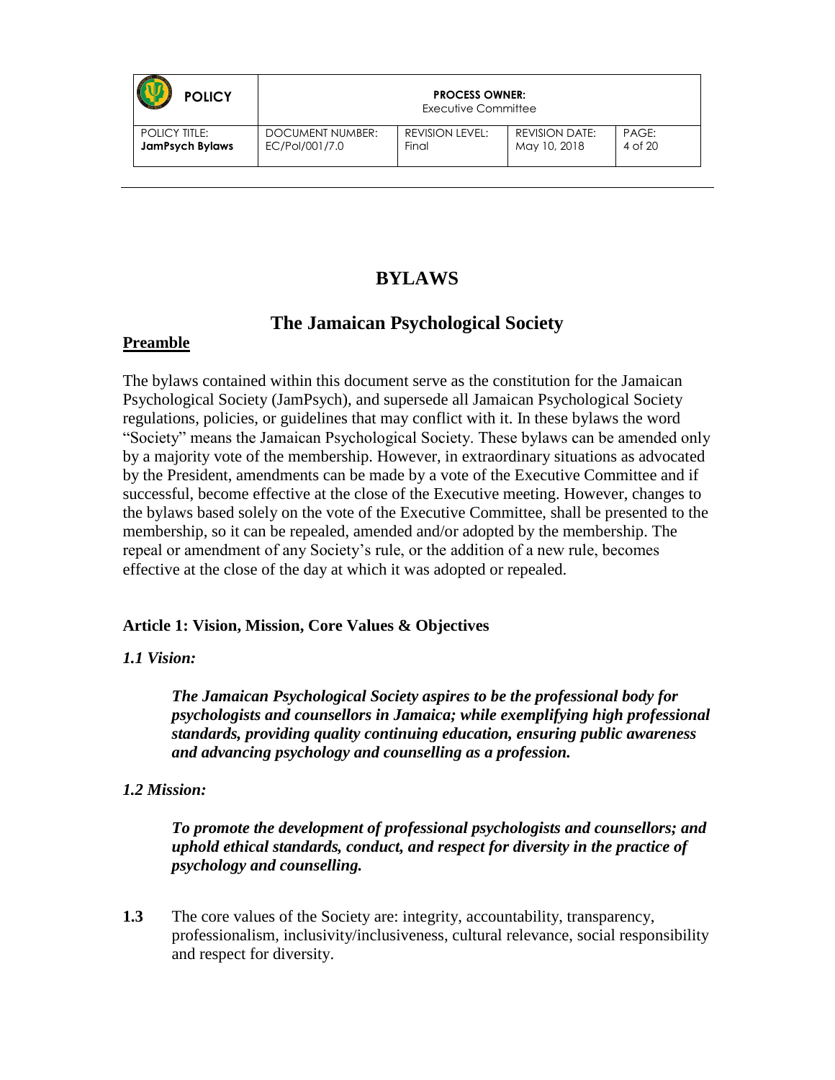| <b>POLICY</b>          |                         | <b>PROCESS OWNER:</b><br>Executive Committee |                       |         |
|------------------------|-------------------------|----------------------------------------------|-----------------------|---------|
| <b>POLICY TITLE:</b>   | <b>DOCUMENT NUMBER:</b> | REVISION LEVEL:                              | <b>REVISION DATE:</b> | PAGE:   |
| <b>JamPsych Bylaws</b> | EC/Pol/001/7.0          | Final                                        | May 10, 2018          | 4 of 20 |

### **BYLAWS**

### **The Jamaican Psychological Society**

#### **Preamble**

The bylaws contained within this document serve as the constitution for the Jamaican Psychological Society (JamPsych), and supersede all Jamaican Psychological Society regulations, policies, or guidelines that may conflict with it. In these bylaws the word "Society" means the Jamaican Psychological Society. These bylaws can be amended only by a majority vote of the membership. However, in extraordinary situations as advocated by the President, amendments can be made by a vote of the Executive Committee and if successful, become effective at the close of the Executive meeting. However, changes to the bylaws based solely on the vote of the Executive Committee, shall be presented to the membership, so it can be repealed, amended and/or adopted by the membership. The repeal or amendment of any Society's rule, or the addition of a new rule, becomes effective at the close of the day at which it was adopted or repealed.

#### **Article 1: Vision, Mission, Core Values & Objectives**

#### *1.1 Vision:*

*The Jamaican Psychological Society aspires to be the professional body for psychologists and counsellors in Jamaica; while exemplifying high professional standards, providing quality continuing education, ensuring public awareness and advancing psychology and counselling as a profession.* 

#### *1.2 Mission:*

*To promote the development of professional psychologists and counsellors; and uphold ethical standards, conduct, and respect for diversity in the practice of psychology and counselling.*

**1.3** The core values of the Society are: integrity, accountability, transparency, professionalism, inclusivity/inclusiveness, cultural relevance, social responsibility and respect for diversity.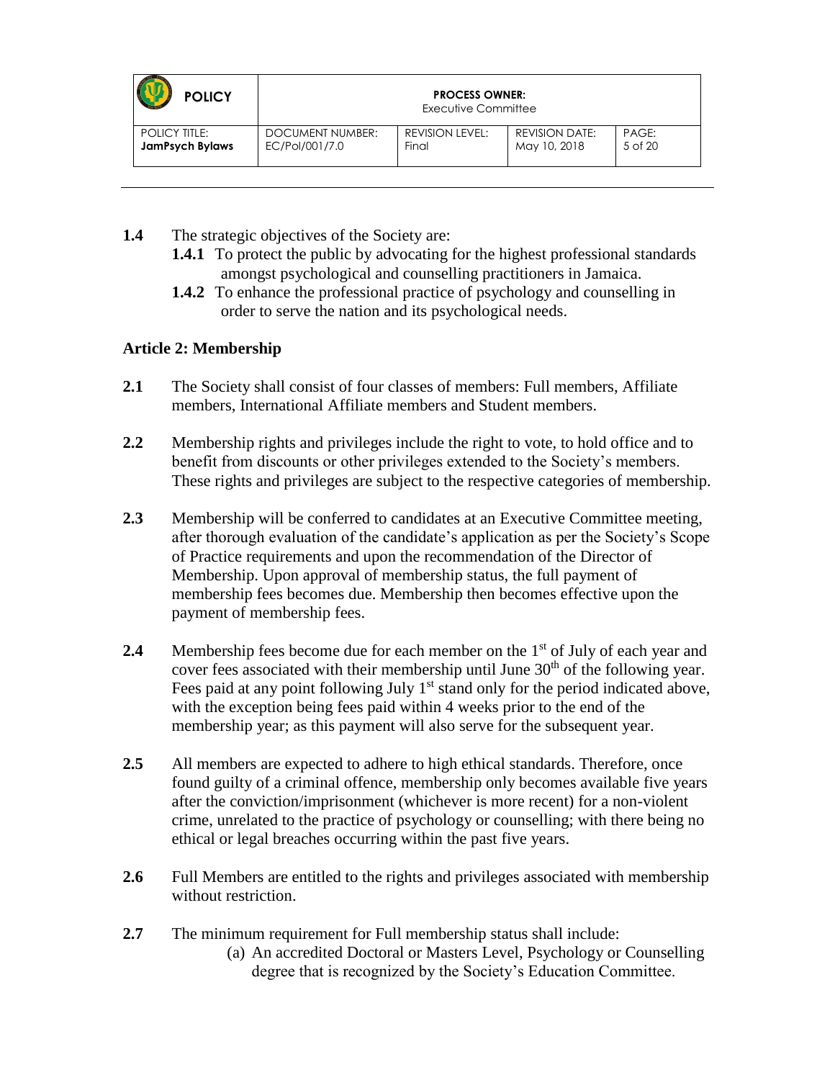| <b>POLICY</b>          | <b>PROCESS OWNER:</b><br>Executive Committee |                        |                       |         |
|------------------------|----------------------------------------------|------------------------|-----------------------|---------|
| <b>POLICY TITLE:</b>   | <b>DOCUMENT NUMBER:</b>                      | <b>REVISION LEVEL:</b> | <b>REVISION DATE:</b> | PAGE:   |
| <b>JamPsych Bylaws</b> | EC/Pol/001/7.0                               | Final                  | May 10, 2018          | 5 of 20 |

- **1.4** The strategic objectives of the Society are:
	- **1.4.1** To protect the public by advocating for the highest professional standards amongst psychological and counselling practitioners in Jamaica.
	- **1.4.2** To enhance the professional practice of psychology and counselling in order to serve the nation and its psychological needs.

#### **Article 2: Membership**

- **2.1** The Society shall consist of four classes of members: Full members, Affiliate members, International Affiliate members and Student members.
- **2.2** Membership rights and privileges include the right to vote, to hold office and to benefit from discounts or other privileges extended to the Society's members. These rights and privileges are subject to the respective categories of membership.
- **2.3** Membership will be conferred to candidates at an Executive Committee meeting, after thorough evaluation of the candidate's application as per the Society's Scope of Practice requirements and upon the recommendation of the Director of Membership. Upon approval of membership status, the full payment of membership fees becomes due. Membership then becomes effective upon the payment of membership fees.
- **2.4** Membership fees become due for each member on the 1<sup>st</sup> of July of each year and cover fees associated with their membership until June  $30<sup>th</sup>$  of the following year. Fees paid at any point following July  $1<sup>st</sup>$  stand only for the period indicated above, with the exception being fees paid within 4 weeks prior to the end of the membership year; as this payment will also serve for the subsequent year.
- **2.5** All members are expected to adhere to high ethical standards. Therefore, once found guilty of a criminal offence, membership only becomes available five years after the conviction/imprisonment (whichever is more recent) for a non-violent crime, unrelated to the practice of psychology or counselling; with there being no ethical or legal breaches occurring within the past five years.
- **2.6** Full Members are entitled to the rights and privileges associated with membership without restriction.
- **2.7** The minimum requirement for Full membership status shall include:
	- (a) An accredited Doctoral or Masters Level, Psychology or Counselling degree that is recognized by the Society's Education Committee.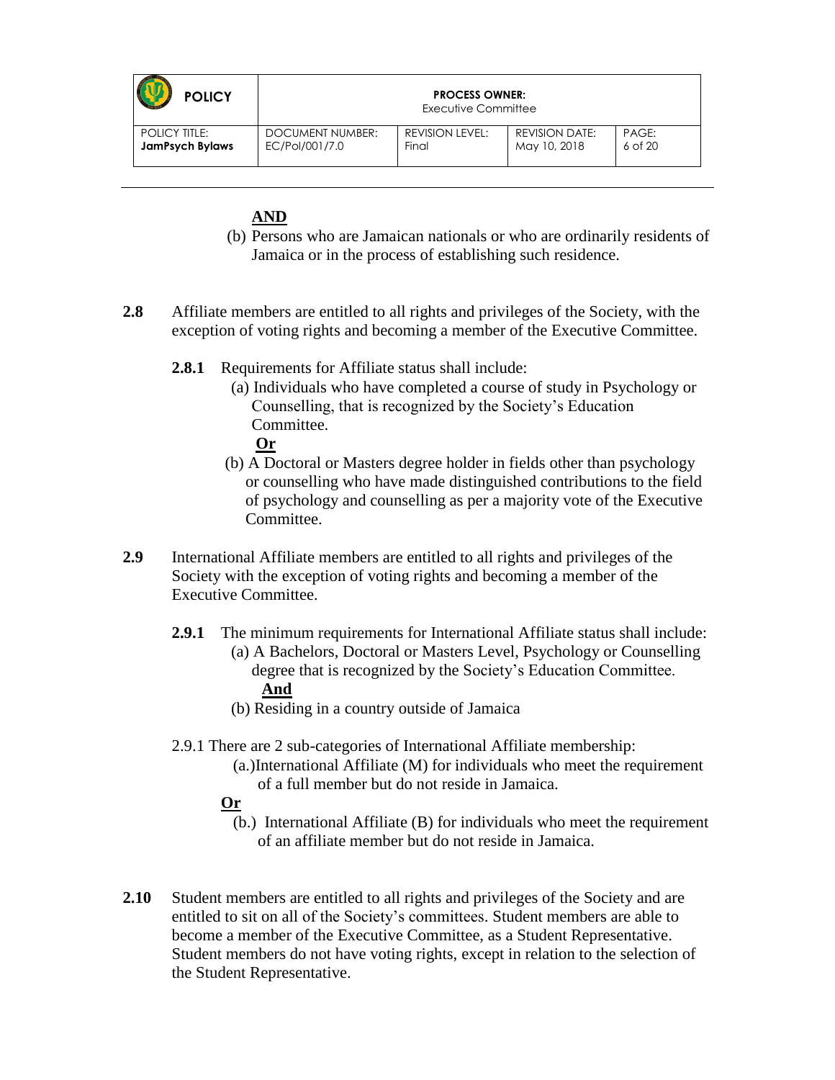| <b>POLICY</b>          |                  | <b>PROCESS OWNER:</b><br>Executive Committee |                       |             |
|------------------------|------------------|----------------------------------------------|-----------------------|-------------|
| <b>POLICY TITLE:</b>   | DOCUMENT NUMBER: | REVISION LEVEL:                              | <b>REVISION DATE:</b> | PAGE:       |
| <b>JamPsych Bylaws</b> | EC/Pol/001/7.0   | Final                                        | May 10, 2018          | $6$ of $20$ |

#### **AND**

- (b) Persons who are Jamaican nationals or who are ordinarily residents of Jamaica or in the process of establishing such residence.
- **2.8** Affiliate members are entitled to all rights and privileges of the Society, with the exception of voting rights and becoming a member of the Executive Committee.
	- **2.8.1** Requirements for Affiliate status shall include:
		- (a) Individuals who have completed a course of study in Psychology or Counselling, that is recognized by the Society's Education Committee. **Or**
		- (b) A Doctoral or Masters degree holder in fields other than psychology or counselling who have made distinguished contributions to the field of psychology and counselling as per a majority vote of the Executive Committee.
- **2.9** International Affiliate members are entitled to all rights and privileges of the Society with the exception of voting rights and becoming a member of the Executive Committee.
	- **2.9.1** The minimum requirements for International Affiliate status shall include: (a) A Bachelors, Doctoral or Masters Level, Psychology or Counselling degree that is recognized by the Society's Education Committee. **And**
		- (b) Residing in a country outside of Jamaica
	- 2.9.1 There are 2 sub-categories of International Affiliate membership:
		- (a.)International Affiliate (M) for individuals who meet the requirement of a full member but do not reside in Jamaica.
		- **Or**
			- (b.) International Affiliate (B) for individuals who meet the requirement of an affiliate member but do not reside in Jamaica.
- **2.10** Student members are entitled to all rights and privileges of the Society and are entitled to sit on all of the Society's committees. Student members are able to become a member of the Executive Committee, as a Student Representative. Student members do not have voting rights, except in relation to the selection of the Student Representative.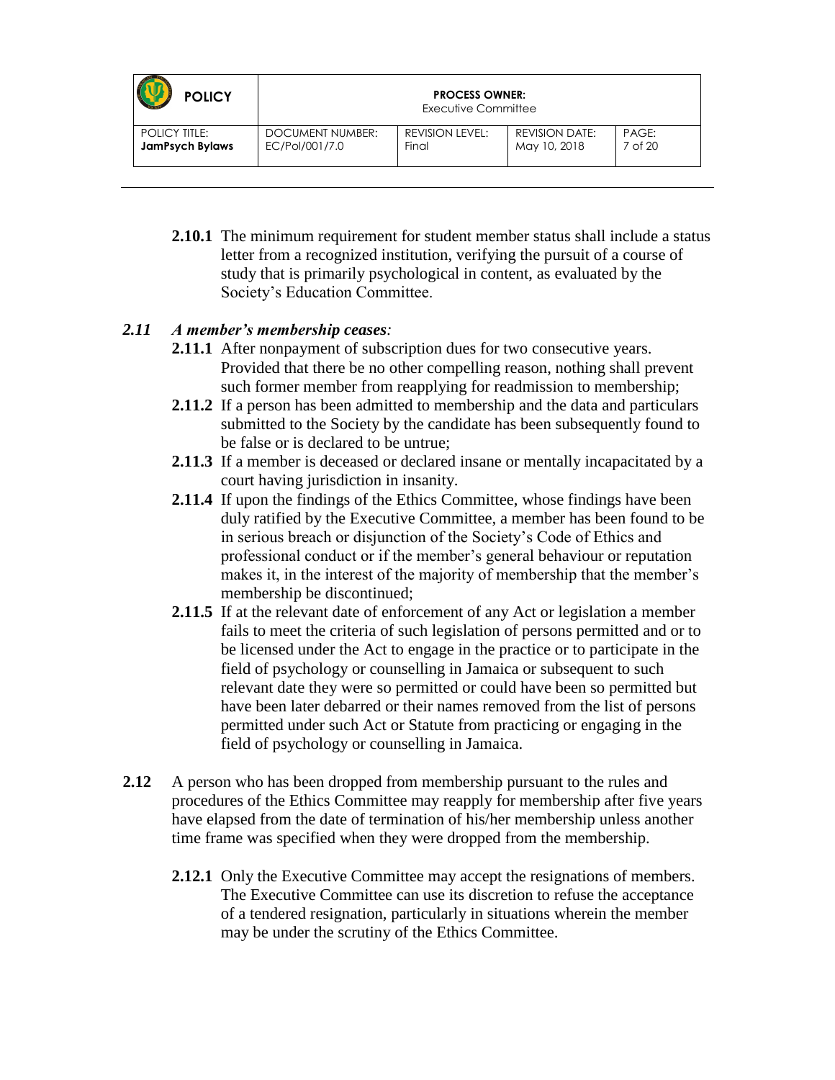| <b>POLICY</b>          | <b>PROCESS OWNER:</b><br>Executive Committee |                 |                       |         |
|------------------------|----------------------------------------------|-----------------|-----------------------|---------|
| <b>POLICY TITLE:</b>   | <b>DOCUMENT NUMBER:</b>                      | REVISION LEVEL: | <b>REVISION DATE:</b> | PAGE:   |
| <b>JamPsych Bylaws</b> | EC/Pol/001/7.0                               | Final           | May 10, 2018          | 7 of 20 |

**2.10.1** The minimum requirement for student member status shall include a status letter from a recognized institution, verifying the pursuit of a course of study that is primarily psychological in content, as evaluated by the Society's Education Committee.

#### *2.11 A member's membership ceases:*

- **2.11.1** After nonpayment of subscription dues for two consecutive years. Provided that there be no other compelling reason, nothing shall prevent such former member from reapplying for readmission to membership;
- **2.11.2** If a person has been admitted to membership and the data and particulars submitted to the Society by the candidate has been subsequently found to be false or is declared to be untrue;
- **2.11.3** If a member is deceased or declared insane or mentally incapacitated by a court having jurisdiction in insanity.
- **2.11.4** If upon the findings of the Ethics Committee, whose findings have been duly ratified by the Executive Committee, a member has been found to be in serious breach or disjunction of the Society's Code of Ethics and professional conduct or if the member's general behaviour or reputation makes it, in the interest of the majority of membership that the member's membership be discontinued;
- **2.11.5** If at the relevant date of enforcement of any Act or legislation a member fails to meet the criteria of such legislation of persons permitted and or to be licensed under the Act to engage in the practice or to participate in the field of psychology or counselling in Jamaica or subsequent to such relevant date they were so permitted or could have been so permitted but have been later debarred or their names removed from the list of persons permitted under such Act or Statute from practicing or engaging in the field of psychology or counselling in Jamaica.
- **2.12** A person who has been dropped from membership pursuant to the rules and procedures of the Ethics Committee may reapply for membership after five years have elapsed from the date of termination of his/her membership unless another time frame was specified when they were dropped from the membership.
	- **2.12.1** Only the Executive Committee may accept the resignations of members. The Executive Committee can use its discretion to refuse the acceptance of a tendered resignation, particularly in situations wherein the member may be under the scrutiny of the Ethics Committee.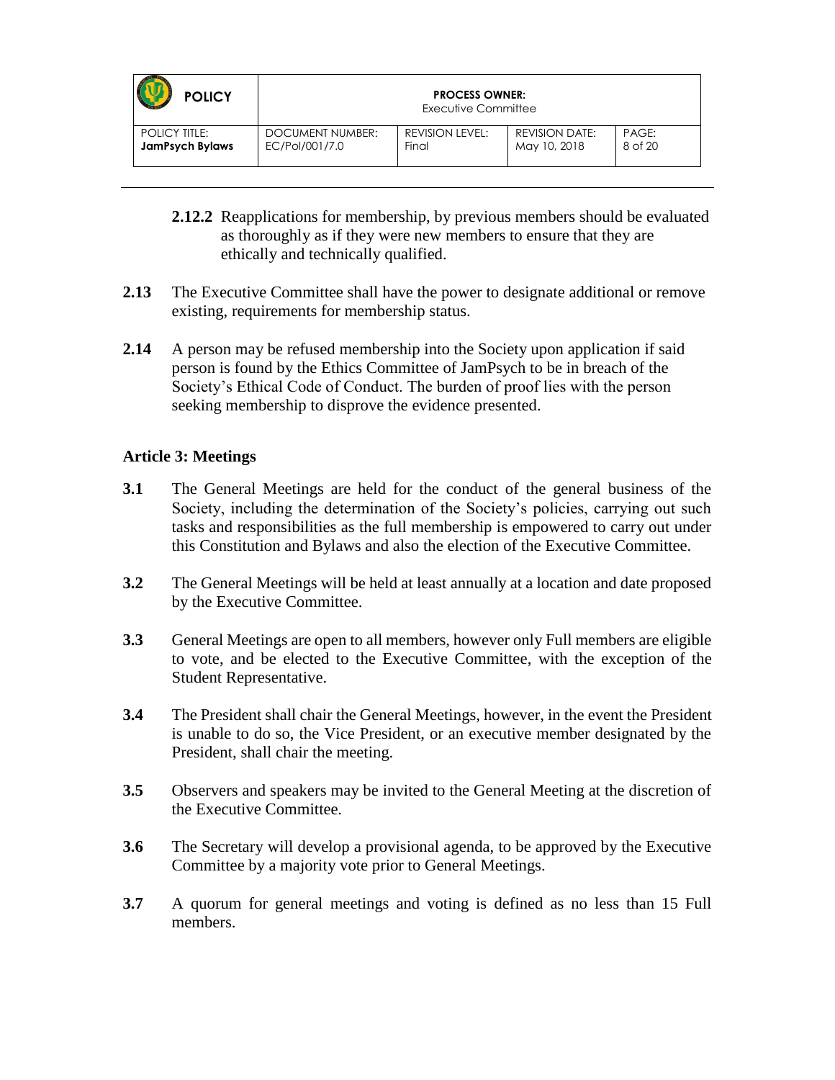| <b>POLICY</b>          |                  | <b>PROCESS OWNER:</b><br>Executive Committee |                       |         |
|------------------------|------------------|----------------------------------------------|-----------------------|---------|
| <b>POLICY TITLE:</b>   | DOCUMENT NUMBER: | <b>REVISION LEVEL:</b>                       | <b>REVISION DATE:</b> | PAGE:   |
| <b>JamPsych Bylaws</b> | EC/Pol/001/7.0   | Final                                        | May 10, 2018          | 8 of 20 |

- **2.12.2** Reapplications for membership, by previous members should be evaluated as thoroughly as if they were new members to ensure that they are ethically and technically qualified.
- **2.13** The Executive Committee shall have the power to designate additional or remove existing, requirements for membership status.
- **2.14** A person may be refused membership into the Society upon application if said person is found by the Ethics Committee of JamPsych to be in breach of the Society's Ethical Code of Conduct. The burden of proof lies with the person seeking membership to disprove the evidence presented.

#### **Article 3: Meetings**

- **3.1** The General Meetings are held for the conduct of the general business of the Society, including the determination of the Society's policies, carrying out such tasks and responsibilities as the full membership is empowered to carry out under this Constitution and Bylaws and also the election of the Executive Committee.
- **3.2** The General Meetings will be held at least annually at a location and date proposed by the Executive Committee.
- **3.3** General Meetings are open to all members, however only Full members are eligible to vote, and be elected to the Executive Committee, with the exception of the Student Representative.
- **3.4** The President shall chair the General Meetings, however, in the event the President is unable to do so, the Vice President, or an executive member designated by the President, shall chair the meeting.
- **3.5** Observers and speakers may be invited to the General Meeting at the discretion of the Executive Committee.
- **3.6** The Secretary will develop a provisional agenda, to be approved by the Executive Committee by a majority vote prior to General Meetings.
- **3.7** A quorum for general meetings and voting is defined as no less than 15 Full members.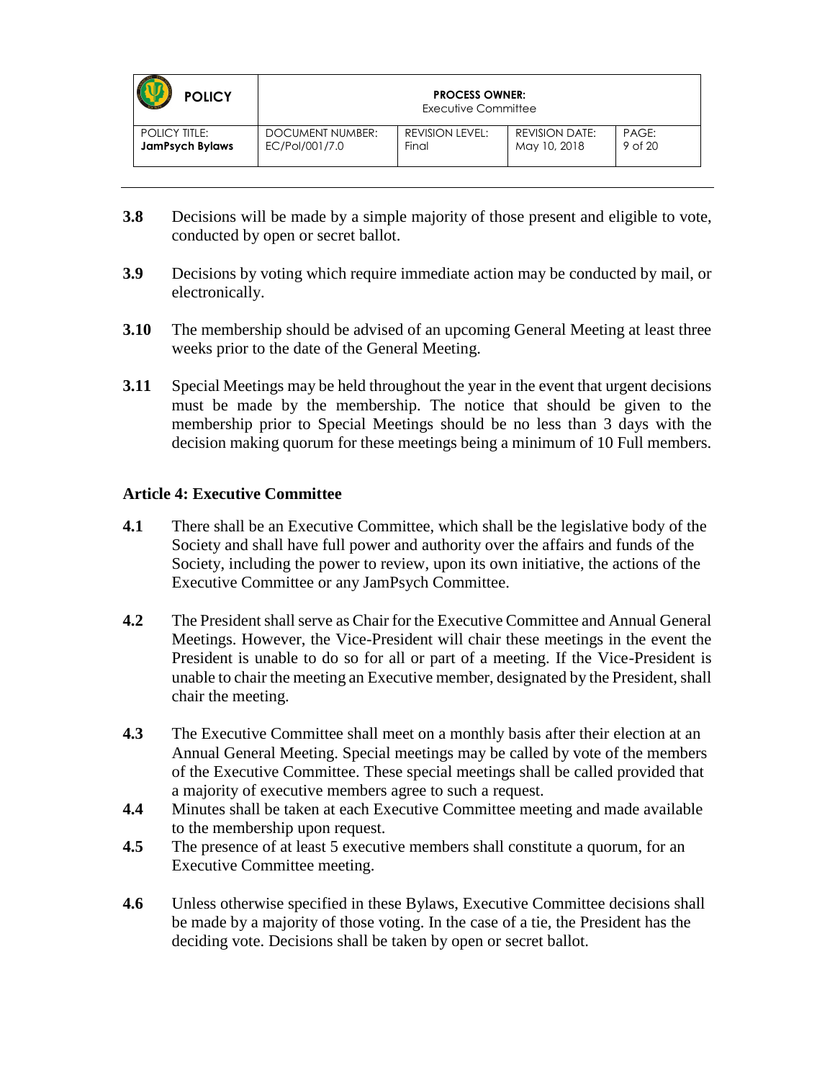| <b>POLICY</b>          | <b>PROCESS OWNER:</b><br>Executive Committee |                 |                       |         |
|------------------------|----------------------------------------------|-----------------|-----------------------|---------|
| <b>POLICY TITLE:</b>   | DOCUMENT NUMBER:                             | REVISION LEVEL: | <b>REVISION DATE:</b> | PAGE:   |
| <b>JamPsych Bylaws</b> | EC/Pol/001/7.0                               | Final           | May 10, 2018          | 9 of 20 |

- **3.8** Decisions will be made by a simple majority of those present and eligible to vote, conducted by open or secret ballot.
- **3.9** Decisions by voting which require immediate action may be conducted by mail, or electronically.
- **3.10** The membership should be advised of an upcoming General Meeting at least three weeks prior to the date of the General Meeting.
- **3.11** Special Meetings may be held throughout the year in the event that urgent decisions must be made by the membership. The notice that should be given to the membership prior to Special Meetings should be no less than 3 days with the decision making quorum for these meetings being a minimum of 10 Full members.

#### **Article 4: Executive Committee**

- **4.1** There shall be an Executive Committee, which shall be the legislative body of the Society and shall have full power and authority over the affairs and funds of the Society, including the power to review, upon its own initiative, the actions of the Executive Committee or any JamPsych Committee.
- **4.2** The President shall serve as Chair for the Executive Committee and Annual General Meetings. However, the Vice-President will chair these meetings in the event the President is unable to do so for all or part of a meeting. If the Vice-President is unable to chair the meeting an Executive member, designated by the President, shall chair the meeting.
- **4.3** The Executive Committee shall meet on a monthly basis after their election at an Annual General Meeting. Special meetings may be called by vote of the members of the Executive Committee. These special meetings shall be called provided that a majority of executive members agree to such a request.
- **4.4** Minutes shall be taken at each Executive Committee meeting and made available to the membership upon request.
- **4.5** The presence of at least 5 executive members shall constitute a quorum, for an Executive Committee meeting.
- **4.6** Unless otherwise specified in these Bylaws, Executive Committee decisions shall be made by a majority of those voting. In the case of a tie, the President has the deciding vote. Decisions shall be taken by open or secret ballot.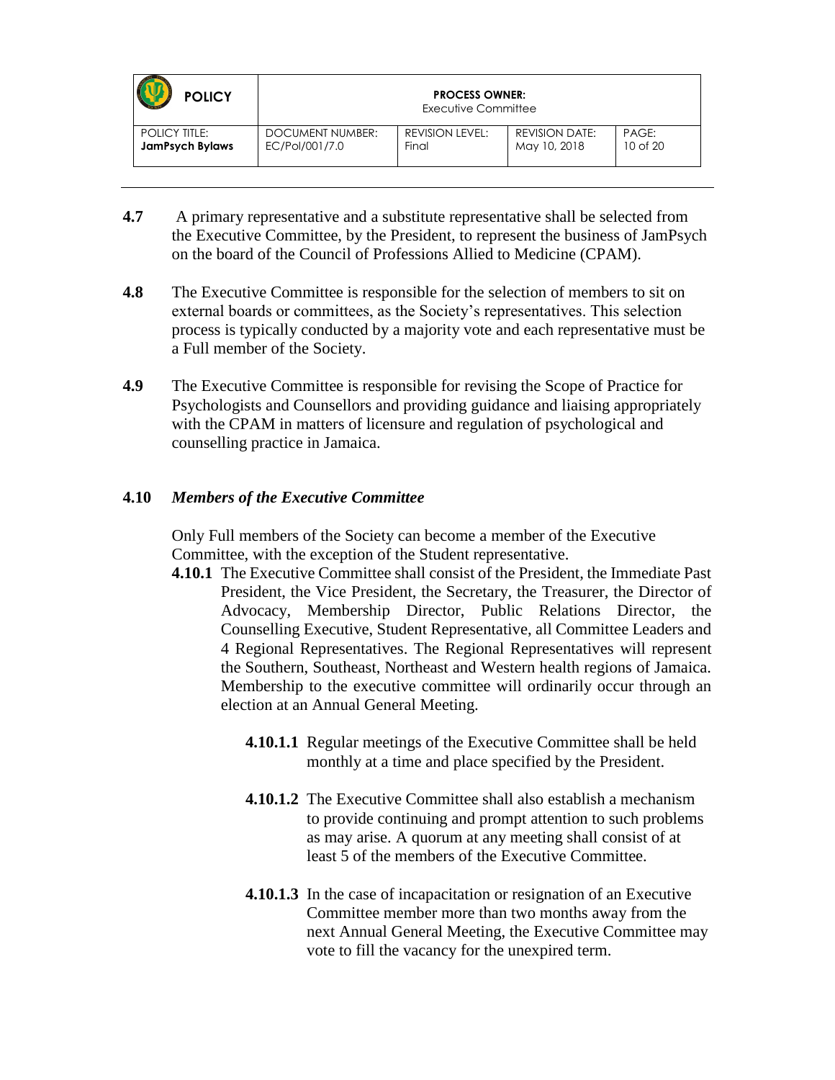| <b>POLICY</b>          | <b>PROCESS OWNER:</b><br>Executive Committee |                 |                       |              |
|------------------------|----------------------------------------------|-----------------|-----------------------|--------------|
| <b>POLICY TITLE:</b>   | DOCUMENT NUMBER:                             | REVISION LEVEL: | <b>REVISION DATE:</b> | PAGE:        |
| <b>JamPsych Bylaws</b> | EC/Pol/001/7.0                               | Final           | May 10, 2018          | $10$ of $20$ |

- **4.7** A primary representative and a substitute representative shall be selected from the Executive Committee, by the President, to represent the business of JamPsych on the board of the Council of Professions Allied to Medicine (CPAM).
- **4.8** The Executive Committee is responsible for the selection of members to sit on external boards or committees, as the Society's representatives. This selection process is typically conducted by a majority vote and each representative must be a Full member of the Society.
- **4.9** The Executive Committee is responsible for revising the Scope of Practice for Psychologists and Counsellors and providing guidance and liaising appropriately with the CPAM in matters of licensure and regulation of psychological and counselling practice in Jamaica.

#### **4.10** *Members of the Executive Committee*

 Only Full members of the Society can become a member of the Executive Committee, with the exception of the Student representative.

- **4.10.1** The Executive Committee shall consist of the President, the Immediate Past President, the Vice President, the Secretary, the Treasurer, the Director of Advocacy, Membership Director, Public Relations Director, the Counselling Executive, Student Representative, all Committee Leaders and 4 Regional Representatives. The Regional Representatives will represent the Southern, Southeast, Northeast and Western health regions of Jamaica. Membership to the executive committee will ordinarily occur through an election at an Annual General Meeting.
	- **4.10.1.1** Regular meetings of the Executive Committee shall be held monthly at a time and place specified by the President.
	- **4.10.1.2** The Executive Committee shall also establish a mechanism to provide continuing and prompt attention to such problems as may arise. A quorum at any meeting shall consist of at least 5 of the members of the Executive Committee.
	- **4.10.1.3** In the case of incapacitation or resignation of an Executive Committee member more than two months away from the next Annual General Meeting, the Executive Committee may vote to fill the vacancy for the unexpired term.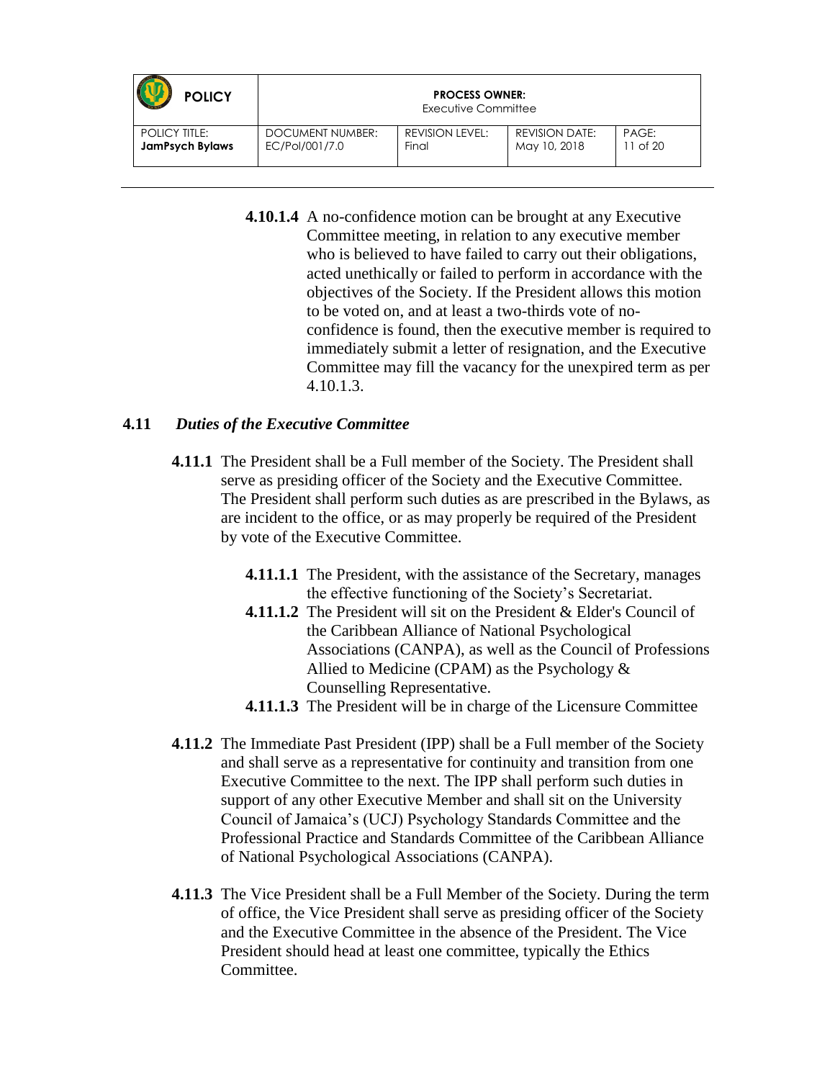| <b>POLICY</b>          | <b>PROCESS OWNER:</b><br>Executive Committee |                 |                       |              |
|------------------------|----------------------------------------------|-----------------|-----------------------|--------------|
| <b>POLICY TITLE:</b>   | DOCUMENT NUMBER:                             | REVISION LEVEL: | <b>REVISION DATE:</b> | PAGE:        |
| <b>JamPsych Bylaws</b> | EC/Pol/001/7.0                               | Final           | May 10, 2018          | $11$ of $20$ |

**4.10.1.4** A no-confidence motion can be brought at any Executive Committee meeting, in relation to any executive member who is believed to have failed to carry out their obligations, acted unethically or failed to perform in accordance with the objectives of the Society. If the President allows this motion to be voted on, and at least a two-thirds vote of noconfidence is found, then the executive member is required to immediately submit a letter of resignation, and the Executive Committee may fill the vacancy for the unexpired term as per 4.10.1.3.

#### **4.11** *Duties of the Executive Committee*

- **4.11.1** The President shall be a Full member of the Society. The President shall serve as presiding officer of the Society and the Executive Committee. The President shall perform such duties as are prescribed in the Bylaws, as are incident to the office, or as may properly be required of the President by vote of the Executive Committee.
	- **4.11.1.1** The President, with the assistance of the Secretary, manages the effective functioning of the Society's Secretariat.
	- **4.11.1.2** The President will sit on the President & Elder's Council of the Caribbean Alliance of National Psychological Associations (CANPA), as well as the Council of Professions Allied to Medicine (CPAM) as the Psychology & Counselling Representative.
	- **4.11.1.3** The President will be in charge of the Licensure Committee
- **4.11.2** The Immediate Past President (IPP) shall be a Full member of the Society and shall serve as a representative for continuity and transition from one Executive Committee to the next. The IPP shall perform such duties in support of any other Executive Member and shall sit on the University Council of Jamaica's (UCJ) Psychology Standards Committee and the Professional Practice and Standards Committee of the Caribbean Alliance of National Psychological Associations (CANPA).
- **4.11.3** The Vice President shall be a Full Member of the Society. During the term of office, the Vice President shall serve as presiding officer of the Society and the Executive Committee in the absence of the President. The Vice President should head at least one committee, typically the Ethics Committee.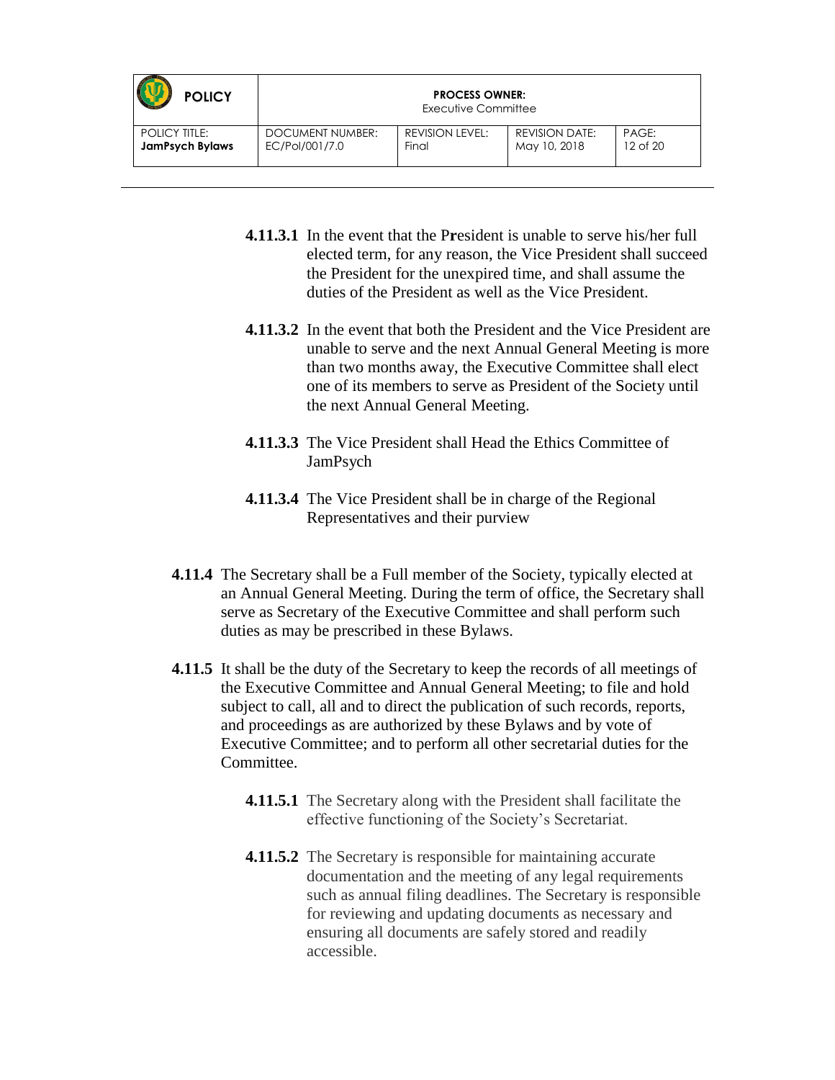| <b>POLICY</b>          | <b>PROCESS OWNER:</b><br>Executive Committee |                        |                       |          |
|------------------------|----------------------------------------------|------------------------|-----------------------|----------|
| <b>POLICY TITLE:</b>   | DOCUMENT NUMBER:                             | <b>REVISION LEVEL:</b> | <b>REVISION DATE:</b> | PAGE:    |
| <b>JamPsych Bylaws</b> | EC/Pol/001/7.0                               | Final                  | May 10, 2018          | 12 of 20 |

- **4.11.3.1** In the event that the P**r**esident is unable to serve his/her full elected term, for any reason, the Vice President shall succeed the President for the unexpired time, and shall assume the duties of the President as well as the Vice President.
- **4.11.3.2** In the event that both the President and the Vice President are unable to serve and the next Annual General Meeting is more than two months away, the Executive Committee shall elect one of its members to serve as President of the Society until the next Annual General Meeting.
- **4.11.3.3** The Vice President shall Head the Ethics Committee of JamPsych
- **4.11.3.4** The Vice President shall be in charge of the Regional Representatives and their purview
- **4.11.4** The Secretary shall be a Full member of the Society, typically elected at an Annual General Meeting. During the term of office, the Secretary shall serve as Secretary of the Executive Committee and shall perform such duties as may be prescribed in these Bylaws.
- **4.11.5** It shall be the duty of the Secretary to keep the records of all meetings of the Executive Committee and Annual General Meeting; to file and hold subject to call, all and to direct the publication of such records, reports, and proceedings as are authorized by these Bylaws and by vote of Executive Committee; and to perform all other secretarial duties for the Committee.
	- **4.11.5.1** The Secretary along with the President shall facilitate the effective functioning of the Society's Secretariat.
	- **4.11.5.2** The Secretary is responsible for maintaining accurate documentation and the meeting of any legal requirements such as annual filing deadlines. The Secretary is responsible for reviewing and updating documents as necessary and ensuring all documents are safely stored and readily accessible.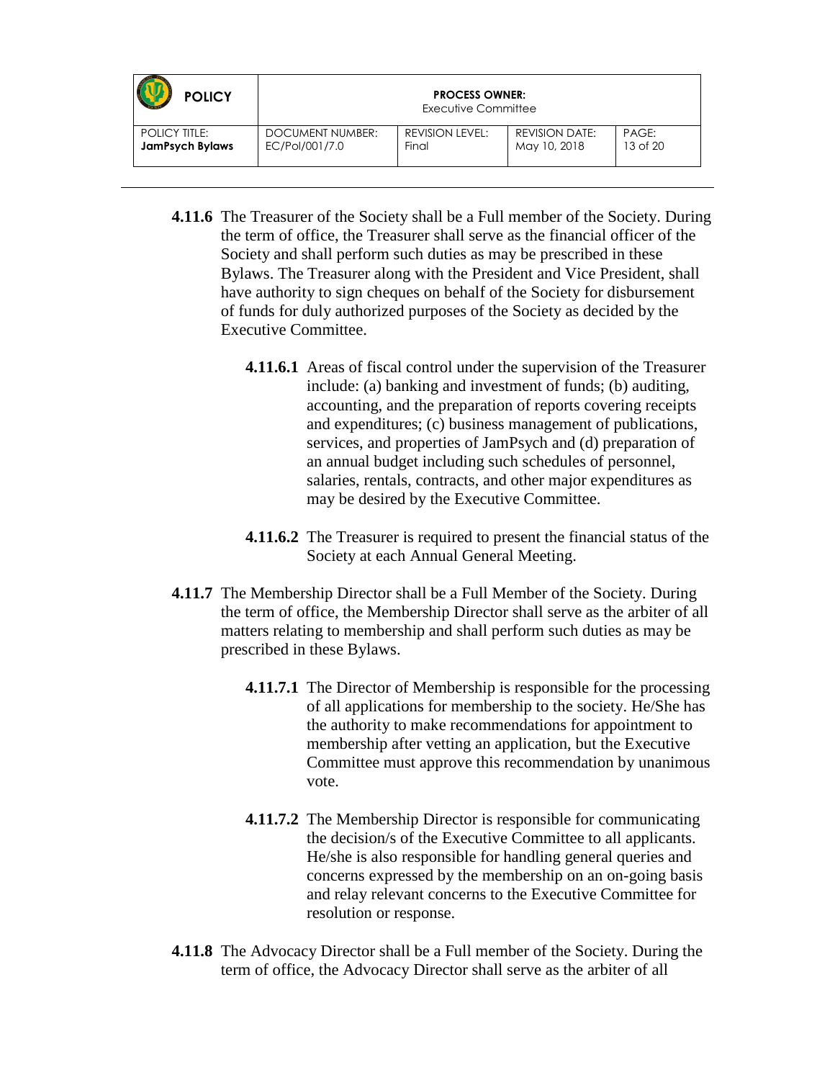| <b>POLICY</b>          | <b>PROCESS OWNER:</b><br>Executive Committee |                        |                       |          |
|------------------------|----------------------------------------------|------------------------|-----------------------|----------|
| <b>POLICY TITLE:</b>   | DOCUMENT NUMBER:                             | <b>REVISION LEVEL:</b> | <b>REVISION DATE:</b> | PAGE:    |
| <b>JamPsych Bylaws</b> | EC/Pol/001/7.0                               | Final                  | May 10, 2018          | 13 of 20 |

- **4.11.6** The Treasurer of the Society shall be a Full member of the Society. During the term of office, the Treasurer shall serve as the financial officer of the Society and shall perform such duties as may be prescribed in these Bylaws. The Treasurer along with the President and Vice President, shall have authority to sign cheques on behalf of the Society for disbursement of funds for duly authorized purposes of the Society as decided by the Executive Committee.
	- **4.11.6.1** Areas of fiscal control under the supervision of the Treasurer include: (a) banking and investment of funds; (b) auditing, accounting, and the preparation of reports covering receipts and expenditures; (c) business management of publications, services, and properties of JamPsych and (d) preparation of an annual budget including such schedules of personnel, salaries, rentals, contracts, and other major expenditures as may be desired by the Executive Committee.
	- **4.11.6.2** The Treasurer is required to present the financial status of the Society at each Annual General Meeting.
- **4.11.7** The Membership Director shall be a Full Member of the Society. During the term of office, the Membership Director shall serve as the arbiter of all matters relating to membership and shall perform such duties as may be prescribed in these Bylaws.
	- **4.11.7.1** The Director of Membership is responsible for the processing of all applications for membership to the society. He/She has the authority to make recommendations for appointment to membership after vetting an application, but the Executive Committee must approve this recommendation by unanimous vote.
	- **4.11.7.2** The Membership Director is responsible for communicating the decision/s of the Executive Committee to all applicants. He/she is also responsible for handling general queries and concerns expressed by the membership on an on-going basis and relay relevant concerns to the Executive Committee for resolution or response.
- **4.11.8** The Advocacy Director shall be a Full member of the Society. During the term of office, the Advocacy Director shall serve as the arbiter of all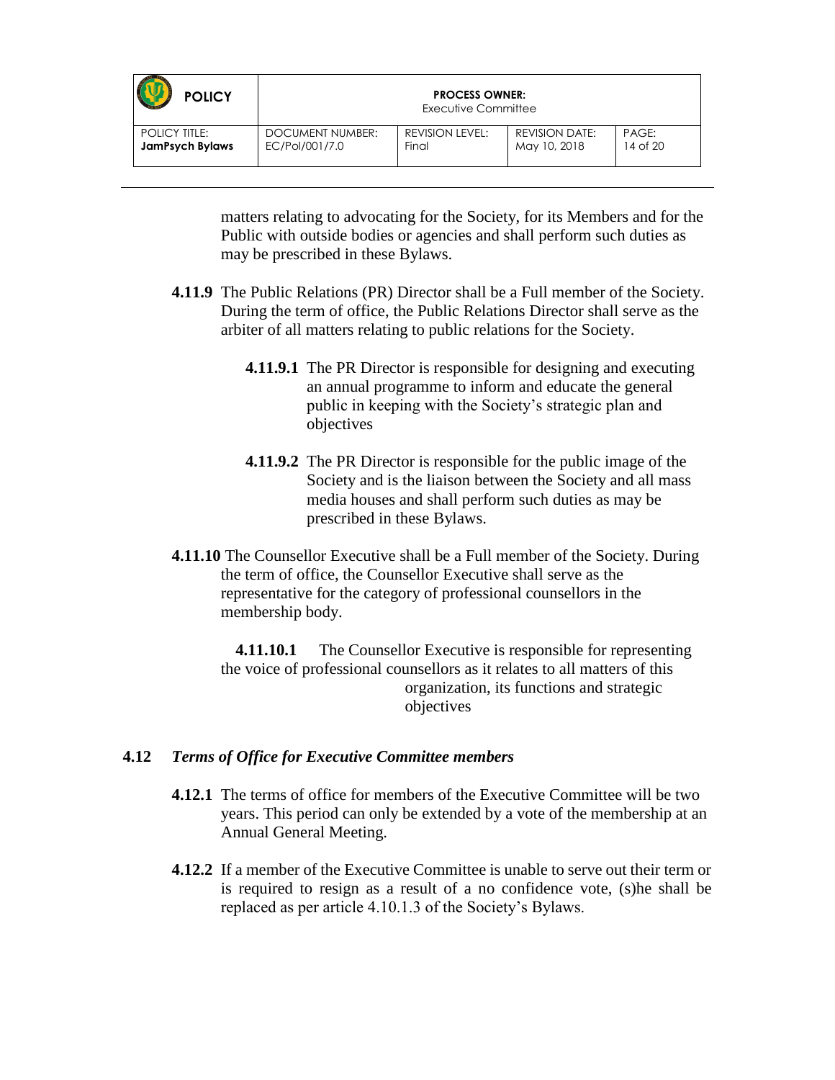| <b>POLICY</b>          | <b>PROCESS OWNER:</b><br>Executive Committee |                 |                       |          |
|------------------------|----------------------------------------------|-----------------|-----------------------|----------|
| <b>POLICY TITLE:</b>   | DOCUMENT NUMBER:                             | REVISION LEVEL: | <b>REVISION DATE:</b> | PAGE:    |
| <b>JamPsych Bylaws</b> | EC/Pol/001/7.0                               | Final           | May 10, 2018          | 14 of 20 |

matters relating to advocating for the Society, for its Members and for the Public with outside bodies or agencies and shall perform such duties as may be prescribed in these Bylaws.

- **4.11.9** The Public Relations (PR) Director shall be a Full member of the Society. During the term of office, the Public Relations Director shall serve as the arbiter of all matters relating to public relations for the Society.
	- **4.11.9.1** The PR Director is responsible for designing and executing an annual programme to inform and educate the general public in keeping with the Society's strategic plan and objectives
	- **4.11.9.2** The PR Director is responsible for the public image of the Society and is the liaison between the Society and all mass media houses and shall perform such duties as may be prescribed in these Bylaws.
- **4.11.10** The Counsellor Executive shall be a Full member of the Society. During the term of office, the Counsellor Executive shall serve as the representative for the category of professional counsellors in the membership body.

**4.11.10.1** The Counsellor Executive is responsible for representing the voice of professional counsellors as it relates to all matters of this organization, its functions and strategic objectives

#### **4.12** *Terms of Office for Executive Committee members*

- **4.12.1** The terms of office for members of the Executive Committee will be two years. This period can only be extended by a vote of the membership at an Annual General Meeting.
- **4.12.2** If a member of the Executive Committee is unable to serve out their term or is required to resign as a result of a no confidence vote, (s)he shall be replaced as per article 4.10.1.3 of the Society's Bylaws.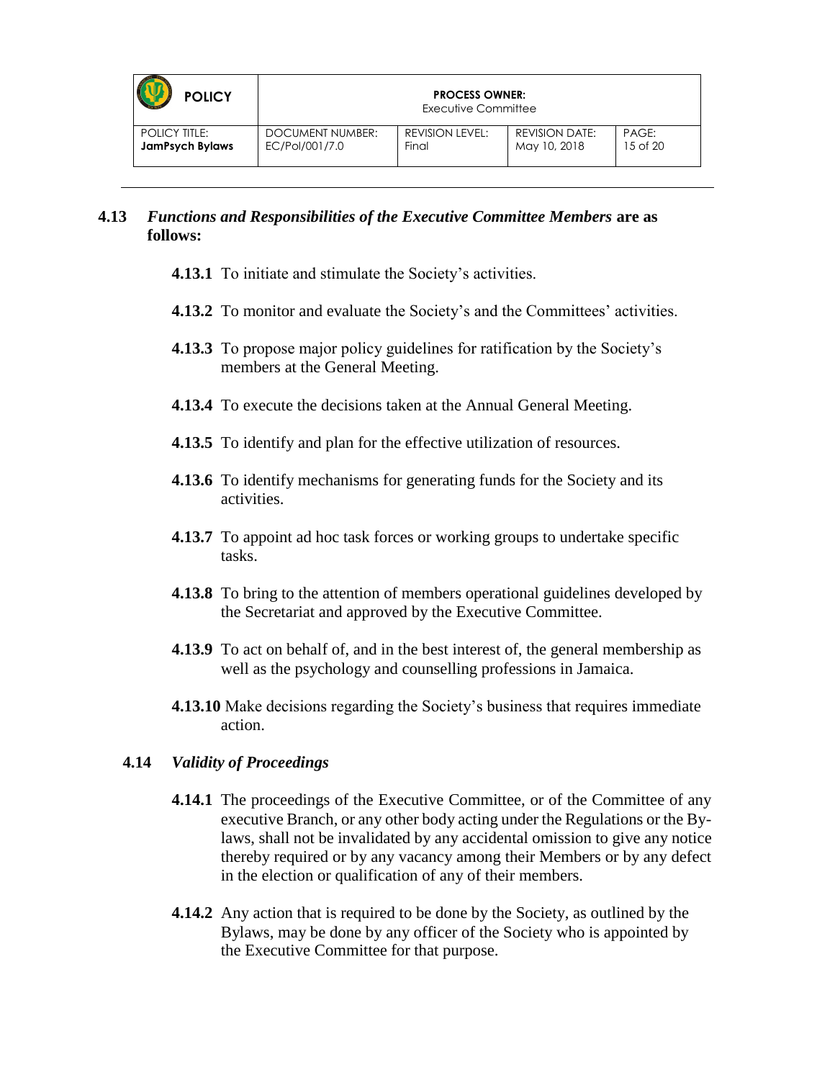| <b>POLICY</b>          | <b>PROCESS OWNER:</b><br>Executive Committee |                        |                       |          |
|------------------------|----------------------------------------------|------------------------|-----------------------|----------|
| <b>POLICY TITLE:</b>   | DOCUMENT NUMBER:                             | <b>REVISION LEVEL:</b> | <b>REVISION DATE:</b> | PAGE:    |
| <b>JamPsych Bylaws</b> | EC/Pol/001/7.0                               | Final                  | May 10, 2018          | 15 of 20 |

#### **4.13** *Functions and Responsibilities of the Executive Committee Members* **are as follows:**

- **4.13.1** To initiate and stimulate the Society's activities.
- **4.13.2** To monitor and evaluate the Society's and the Committees' activities.
- **4.13.3** To propose major policy guidelines for ratification by the Society's members at the General Meeting.
- **4.13.4** To execute the decisions taken at the Annual General Meeting.
- **4.13.5** To identify and plan for the effective utilization of resources.
- **4.13.6** To identify mechanisms for generating funds for the Society and its activities.
- **4.13.7** To appoint ad hoc task forces or working groups to undertake specific tasks.
- **4.13.8** To bring to the attention of members operational guidelines developed by the Secretariat and approved by the Executive Committee.
- **4.13.9** To act on behalf of, and in the best interest of, the general membership as well as the psychology and counselling professions in Jamaica.
- **4.13.10** Make decisions regarding the Society's business that requires immediate action.

#### **4.14** *Validity of Proceedings*

- **4.14.1** The proceedings of the Executive Committee, or of the Committee of any executive Branch, or any other body acting under the Regulations or the Bylaws, shall not be invalidated by any accidental omission to give any notice thereby required or by any vacancy among their Members or by any defect in the election or qualification of any of their members.
- **4.14.2** Any action that is required to be done by the Society, as outlined by the Bylaws, may be done by any officer of the Society who is appointed by the Executive Committee for that purpose.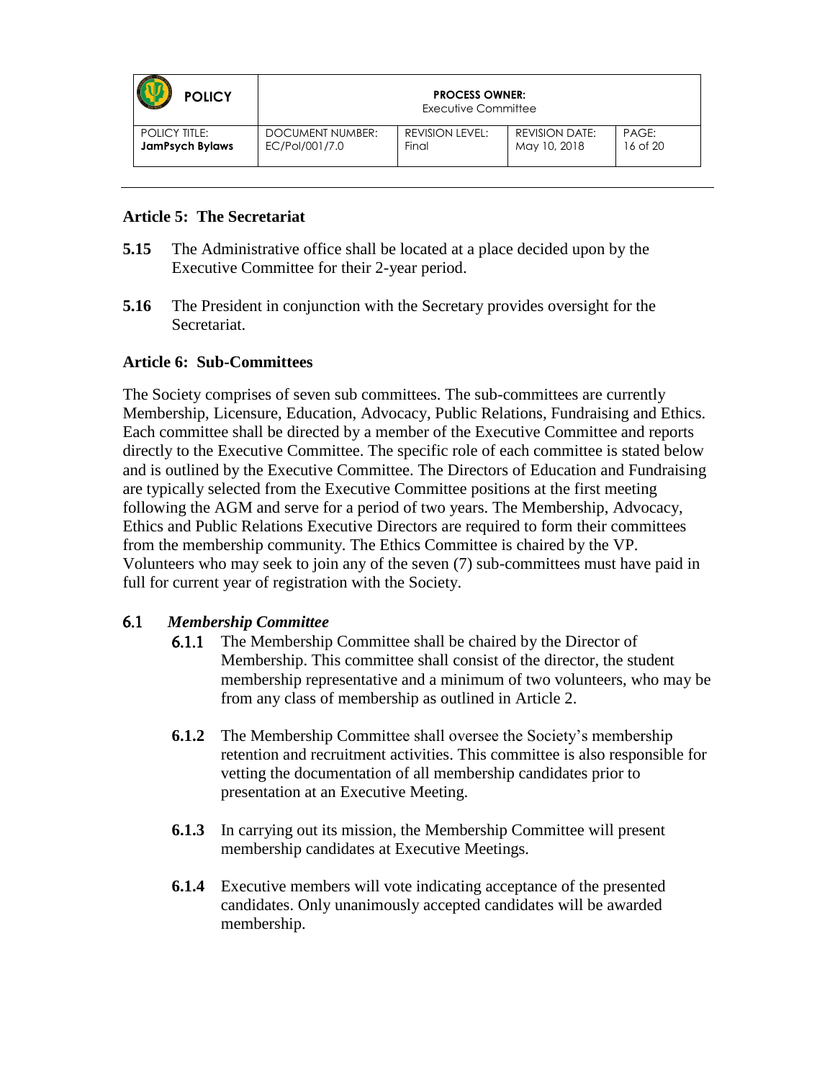| <b>POLICY</b>          | <b>PROCESS OWNER:</b><br>Executive Committee |                 |                       |          |
|------------------------|----------------------------------------------|-----------------|-----------------------|----------|
| <b>POLICY TITLE:</b>   | DOCUMENT NUMBER:                             | REVISION LEVEL: | <b>REVISION DATE:</b> | PAGE:    |
| <b>JamPsych Bylaws</b> | EC/Pol/001/7.0                               | Final           | May 10, 2018          | 16 of 20 |

#### **Article 5: The Secretariat**

- **5.15** The Administrative office shall be located at a place decided upon by the Executive Committee for their 2-year period.
- **5.16** The President in conjunction with the Secretary provides oversight for the Secretariat.

#### **Article 6: Sub-Committees**

The Society comprises of seven sub committees. The sub-committees are currently Membership, Licensure, Education, Advocacy, Public Relations, Fundraising and Ethics. Each committee shall be directed by a member of the Executive Committee and reports directly to the Executive Committee. The specific role of each committee is stated below and is outlined by the Executive Committee. The Directors of Education and Fundraising are typically selected from the Executive Committee positions at the first meeting following the AGM and serve for a period of two years. The Membership, Advocacy, Ethics and Public Relations Executive Directors are required to form their committees from the membership community. The Ethics Committee is chaired by the VP. Volunteers who may seek to join any of the seven (7) sub-committees must have paid in full for current year of registration with the Society.

#### 6.1 *Membership Committee*

- 6.1.1 The Membership Committee shall be chaired by the Director of Membership. This committee shall consist of the director, the student membership representative and a minimum of two volunteers, who may be from any class of membership as outlined in Article 2.
- **6.1.2** The Membership Committee shall oversee the Society's membership retention and recruitment activities. This committee is also responsible for vetting the documentation of all membership candidates prior to presentation at an Executive Meeting.
- **6.1.3** In carrying out its mission, the Membership Committee will present membership candidates at Executive Meetings.
- **6.1.4** Executive members will vote indicating acceptance of the presented candidates. Only unanimously accepted candidates will be awarded membership.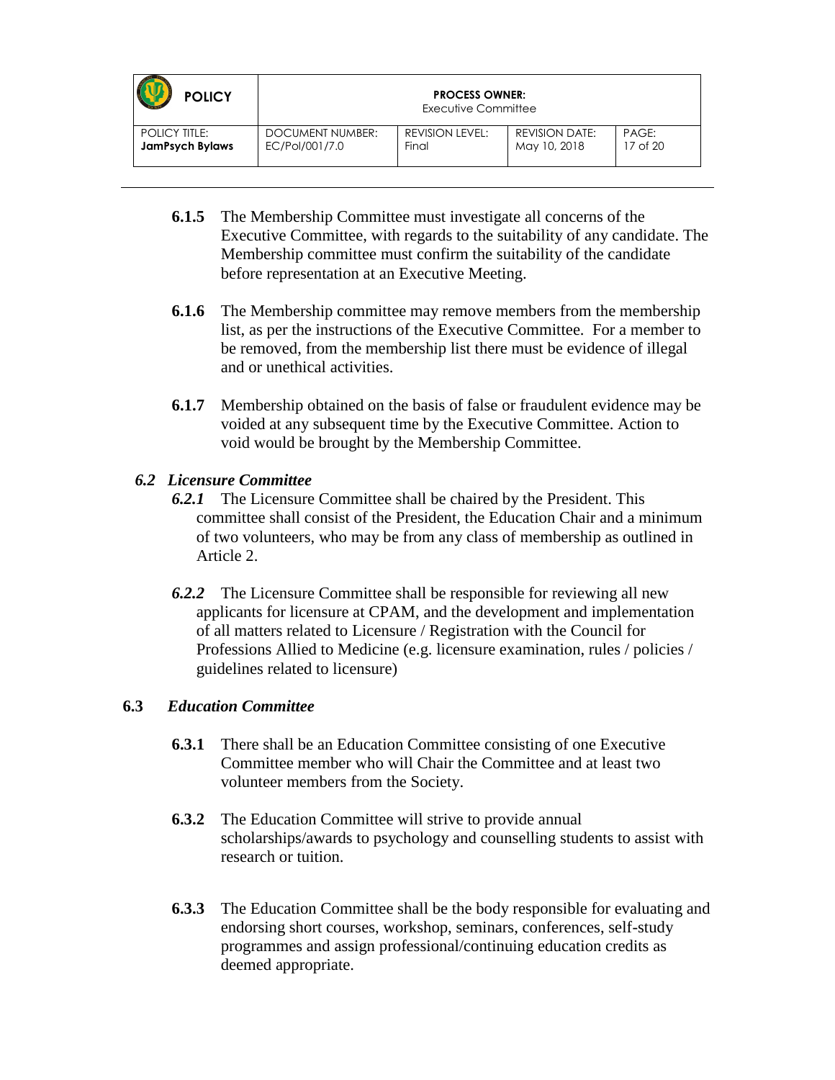| <b>POLICY</b>          | <b>PROCESS OWNER:</b><br>Executive Committee |                 |                       |          |
|------------------------|----------------------------------------------|-----------------|-----------------------|----------|
| <b>POLICY TITLE:</b>   | DOCUMENT NUMBER:                             | REVISION LEVEL: | <b>REVISION DATE:</b> | PAGE:    |
| <b>JamPsych Bylaws</b> | EC/Pol/001/7.0                               | Final           | May 10, 2018          | 17 of 20 |

- **6.1.5** The Membership Committee must investigate all concerns of the Executive Committee, with regards to the suitability of any candidate. The Membership committee must confirm the suitability of the candidate before representation at an Executive Meeting.
- **6.1.6** The Membership committee may remove members from the membership list, as per the instructions of the Executive Committee. For a member to be removed, from the membership list there must be evidence of illegal and or unethical activities.
- **6.1.7** Membership obtained on the basis of false or fraudulent evidence may be voided at any subsequent time by the Executive Committee. Action to void would be brought by the Membership Committee.

#### *6.2 Licensure Committee*

- *6.2.1* The Licensure Committee shall be chaired by the President. This committee shall consist of the President, the Education Chair and a minimum of two volunteers, who may be from any class of membership as outlined in Article 2.
- *6.2.2* The Licensure Committee shall be responsible for reviewing all new applicants for licensure at CPAM, and the development and implementation of all matters related to Licensure / Registration with the Council for Professions Allied to Medicine (e.g. licensure examination, rules / policies / guidelines related to licensure)

#### **6.3** *Education Committee*

- **6.3.1** There shall be an Education Committee consisting of one Executive Committee member who will Chair the Committee and at least two volunteer members from the Society.
- **6.3.2** The Education Committee will strive to provide annual scholarships/awards to psychology and counselling students to assist with research or tuition.
- **6.3.3** The Education Committee shall be the body responsible for evaluating and endorsing short courses, workshop, seminars, conferences, self-study programmes and assign professional/continuing education credits as deemed appropriate.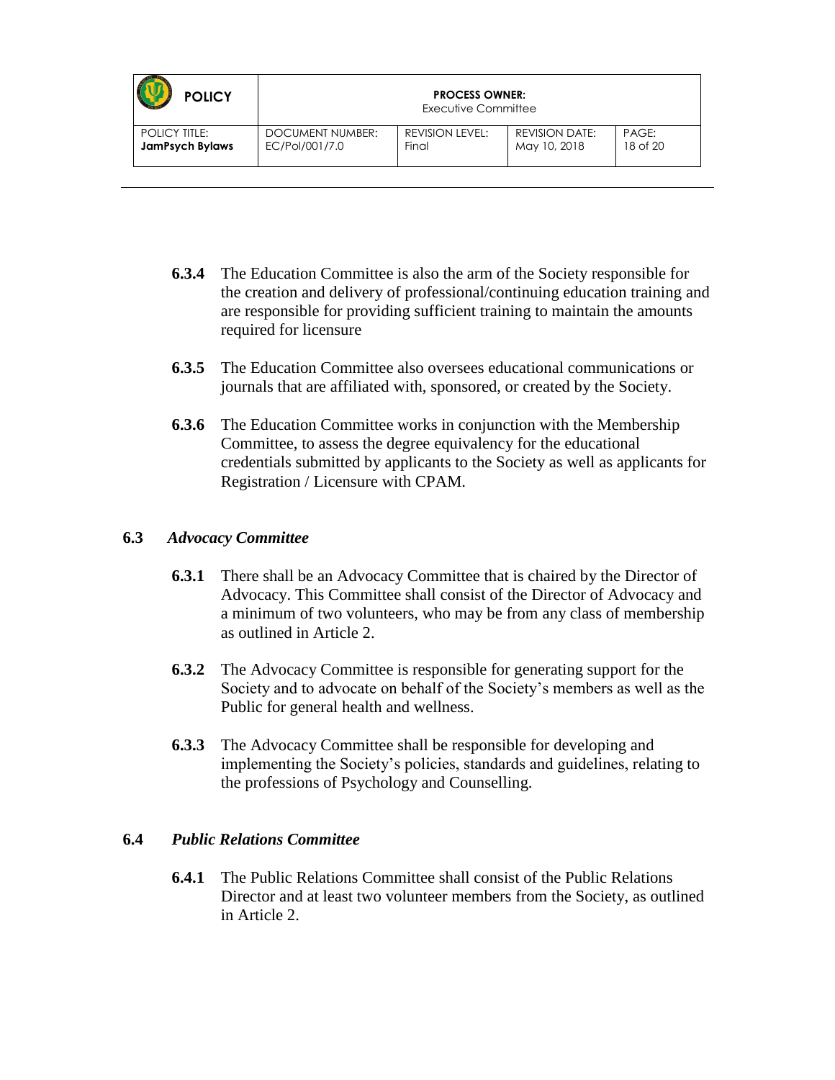| <b>POLICY</b>          | <b>PROCESS OWNER:</b><br>Executive Committee |                        |                       |          |
|------------------------|----------------------------------------------|------------------------|-----------------------|----------|
| <b>POLICY TITLE:</b>   | DOCUMENT NUMBER:                             | <b>REVISION LEVEL:</b> | <b>REVISION DATE:</b> | PAGE:    |
| <b>JamPsych Bylaws</b> | EC/Pol/001/7.0                               | Final                  | May 10, 2018          | 18 of 20 |

- **6.3.4** The Education Committee is also the arm of the Society responsible for the creation and delivery of professional/continuing education training and are responsible for providing sufficient training to maintain the amounts required for licensure
- **6.3.5** The Education Committee also oversees educational communications or journals that are affiliated with, sponsored, or created by the Society.
- **6.3.6** The Education Committee works in conjunction with the Membership Committee, to assess the degree equivalency for the educational credentials submitted by applicants to the Society as well as applicants for Registration / Licensure with CPAM.

#### **6.3** *Advocacy Committee*

- **6.3.1** There shall be an Advocacy Committee that is chaired by the Director of Advocacy. This Committee shall consist of the Director of Advocacy and a minimum of two volunteers, who may be from any class of membership as outlined in Article 2.
- **6.3.2** The Advocacy Committee is responsible for generating support for the Society and to advocate on behalf of the Society's members as well as the Public for general health and wellness.
- **6.3.3** The Advocacy Committee shall be responsible for developing and implementing the Society's policies, standards and guidelines, relating to the professions of Psychology and Counselling.

#### **6.4** *Public Relations Committee*

**6.4.1** The Public Relations Committee shall consist of the Public Relations Director and at least two volunteer members from the Society, as outlined in Article 2.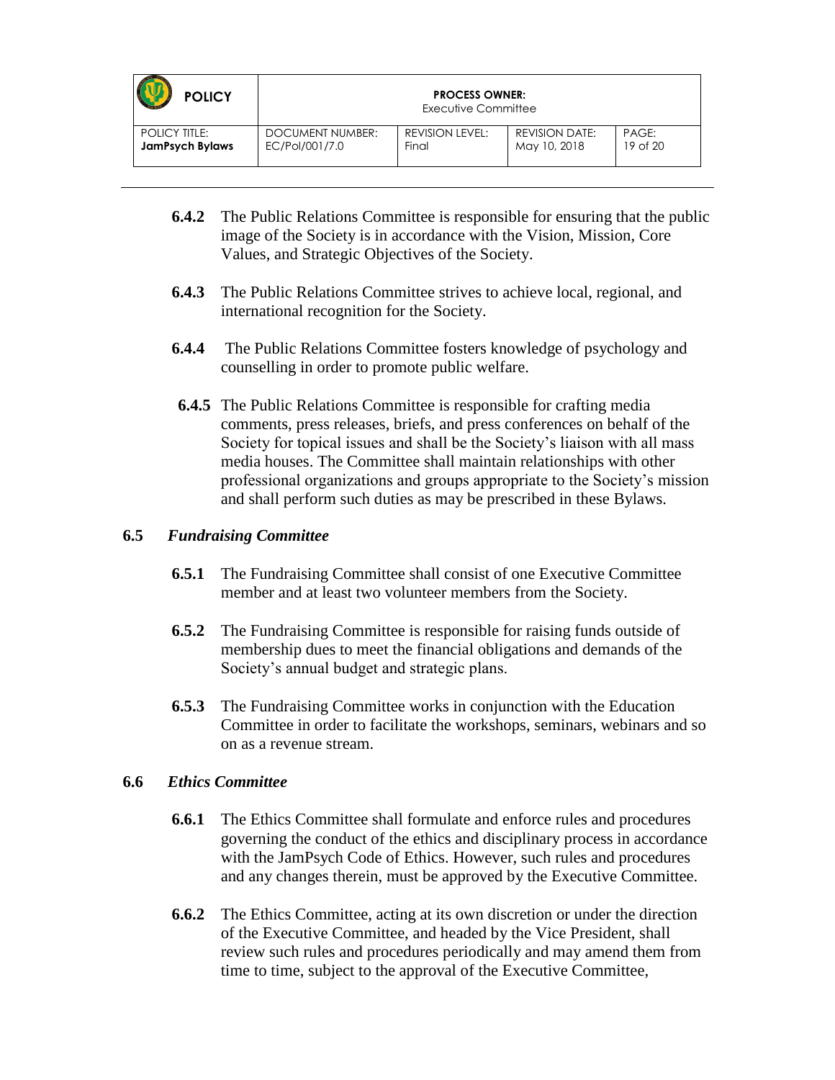| <b>POLICY</b>          | <b>PROCESS OWNER:</b><br>Executive Committee |                 |                       |          |
|------------------------|----------------------------------------------|-----------------|-----------------------|----------|
| <b>POLICY TITLE:</b>   | DOCUMENT NUMBER:                             | REVISION LEVEL: | <b>REVISION DATE:</b> | PAGE:    |
| <b>JamPsych Bylaws</b> | EC/Pol/001/7.0                               | Final           | May 10, 2018          | 19 of 20 |

- **6.4.2** The Public Relations Committee is responsible for ensuring that the public image of the Society is in accordance with the Vision, Mission, Core Values, and Strategic Objectives of the Society.
- **6.4.3** The Public Relations Committee strives to achieve local, regional, and international recognition for the Society.
- **6.4.4** The Public Relations Committee fosters knowledge of psychology and counselling in order to promote public welfare.
- **6.4.5** The Public Relations Committee is responsible for crafting media comments, press releases, briefs, and press conferences on behalf of the Society for topical issues and shall be the Society's liaison with all mass media houses. The Committee shall maintain relationships with other professional organizations and groups appropriate to the Society's mission and shall perform such duties as may be prescribed in these Bylaws.

#### **6.5** *Fundraising Committee*

- **6.5.1** The Fundraising Committee shall consist of one Executive Committee member and at least two volunteer members from the Society.
- **6.5.2** The Fundraising Committee is responsible for raising funds outside of membership dues to meet the financial obligations and demands of the Society's annual budget and strategic plans.
- **6.5.3** The Fundraising Committee works in conjunction with the Education Committee in order to facilitate the workshops, seminars, webinars and so on as a revenue stream.

#### **6.6** *Ethics Committee*

- **6.6.1** The Ethics Committee shall formulate and enforce rules and procedures governing the conduct of the ethics and disciplinary process in accordance with the JamPsych Code of Ethics. However, such rules and procedures and any changes therein, must be approved by the Executive Committee.
- **6.6.2** The Ethics Committee, acting at its own discretion or under the direction of the Executive Committee, and headed by the Vice President, shall review such rules and procedures periodically and may amend them from time to time, subject to the approval of the Executive Committee,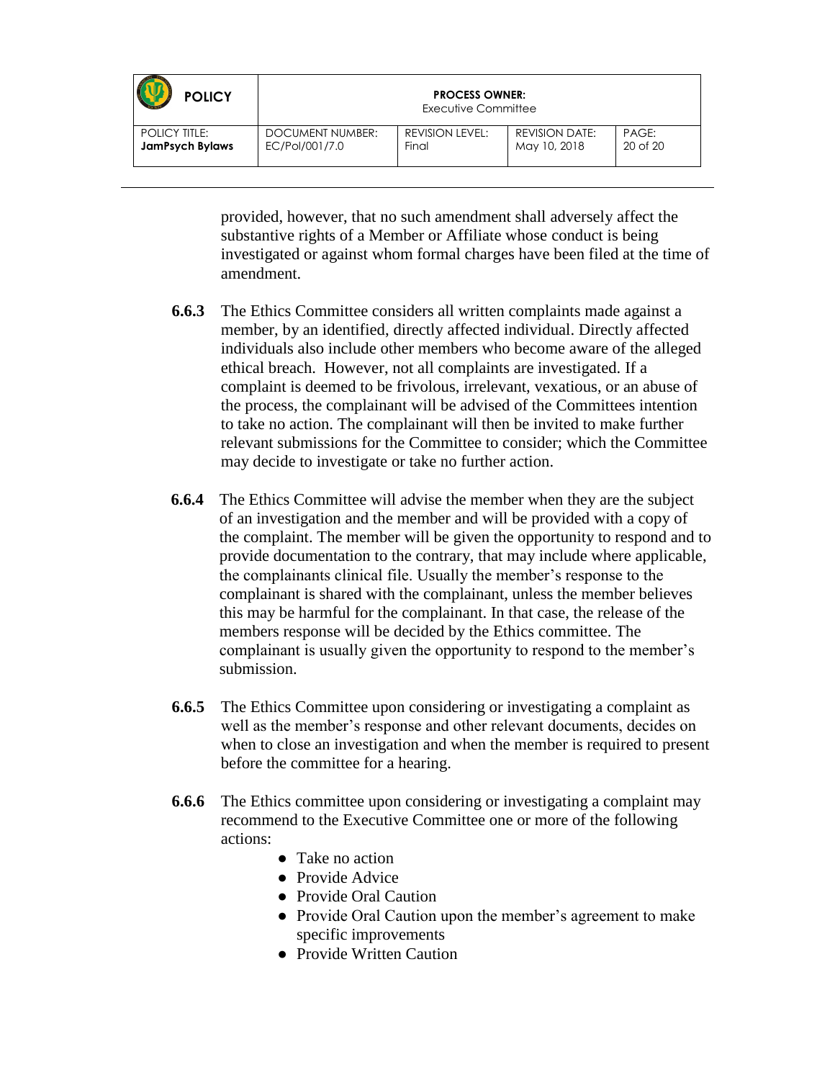| <b>POLICY</b>          | <b>PROCESS OWNER:</b><br>Executive Committee |                 |                       |              |
|------------------------|----------------------------------------------|-----------------|-----------------------|--------------|
| <b>POLICY TITLE:</b>   | DOCUMENT NUMBER:                             | REVISION LEVEL: | <b>REVISION DATE:</b> | PAGE:        |
| <b>JamPsych Bylaws</b> | EC/Pol/001/7.0                               | Final           | May 10, 2018          | $20$ of $20$ |

provided, however, that no such amendment shall adversely affect the substantive rights of a Member or Affiliate whose conduct is being investigated or against whom formal charges have been filed at the time of amendment.

- **6.6.3** The Ethics Committee considers all written complaints made against a member, by an identified, directly affected individual. Directly affected individuals also include other members who become aware of the alleged ethical breach. However, not all complaints are investigated. If a complaint is deemed to be frivolous, irrelevant, vexatious, or an abuse of the process, the complainant will be advised of the Committees intention to take no action. The complainant will then be invited to make further relevant submissions for the Committee to consider; which the Committee may decide to investigate or take no further action.
- **6.6.4** The Ethics Committee will advise the member when they are the subject of an investigation and the member and will be provided with a copy of the complaint. The member will be given the opportunity to respond and to provide documentation to the contrary, that may include where applicable, the complainants clinical file. Usually the member's response to the complainant is shared with the complainant, unless the member believes this may be harmful for the complainant. In that case, the release of the members response will be decided by the Ethics committee. The complainant is usually given the opportunity to respond to the member's submission.
- **6.6.5** The Ethics Committee upon considering or investigating a complaint as well as the member's response and other relevant documents, decides on when to close an investigation and when the member is required to present before the committee for a hearing.
- **6.6.6** The Ethics committee upon considering or investigating a complaint may recommend to the Executive Committee one or more of the following actions:
	- **●** Take no action
	- **●** Provide Advice
	- **●** Provide Oral Caution
	- **●** Provide Oral Caution upon the member's agreement to make specific improvements
	- **●** Provide Written Caution